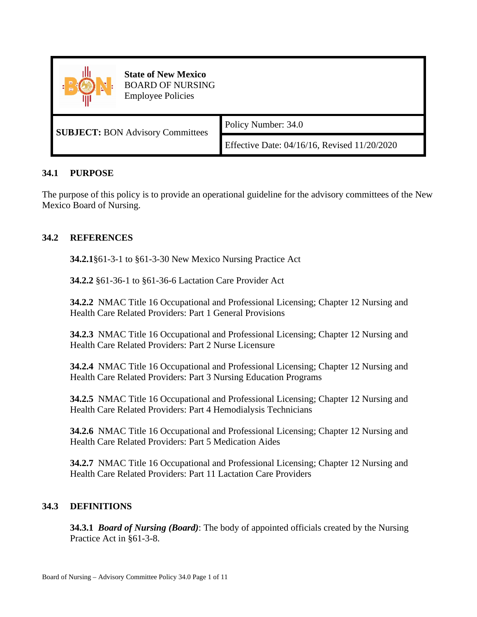

**State of New Mexico** BOARD OF NURSING Employee Policies

**SUBJECT:** BON Advisory Committees Policy Number: 34.0

Effective Date: 04/16/16, Revised 11/20/2020

## **34.1 PURPOSE**

The purpose of this policy is to provide an operational guideline for the advisory committees of the New Mexico Board of Nursing.

# **34.2 REFERENCES**

**34.2.1**§61-3-1 to §61-3-30 New Mexico Nursing Practice Act

**34.2.2** §61-36-1 to §61-36-6 Lactation Care Provider Act

**34.2.2** NMAC Title 16 Occupational and Professional Licensing; Chapter 12 Nursing and Health Care Related Providers: Part 1 General Provisions

**34.2.3** NMAC Title 16 Occupational and Professional Licensing; Chapter 12 Nursing and Health Care Related Providers: Part 2 Nurse Licensure

**34.2.4** NMAC Title 16 Occupational and Professional Licensing; Chapter 12 Nursing and Health Care Related Providers: Part 3 Nursing Education Programs

**34.2.5** NMAC Title 16 Occupational and Professional Licensing; Chapter 12 Nursing and Health Care Related Providers: Part 4 Hemodialysis Technicians

**34.2.6** NMAC Title 16 Occupational and Professional Licensing; Chapter 12 Nursing and Health Care Related Providers: Part 5 Medication Aides

**34.2.7** NMAC Title 16 Occupational and Professional Licensing; Chapter 12 Nursing and Health Care Related Providers: Part 11 Lactation Care Providers

# **34.3 DEFINITIONS**

**34.3.1** *Board of Nursing (Board)*: The body of appointed officials created by the Nursing Practice Act in §61-3-8.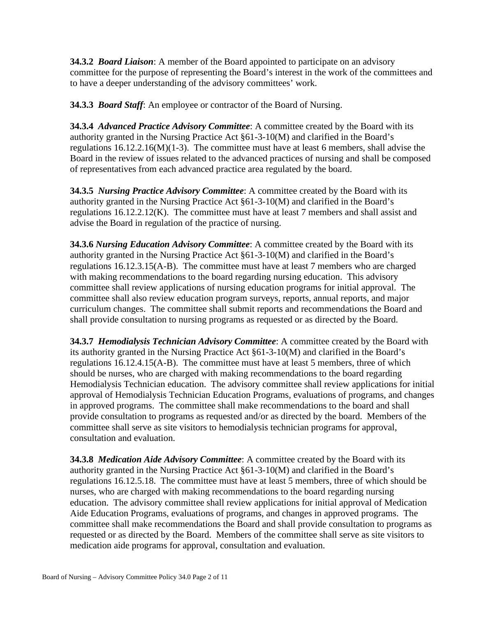**34.3.2** *Board Liaison*: A member of the Board appointed to participate on an advisory committee for the purpose of representing the Board's interest in the work of the committees and to have a deeper understanding of the advisory committees' work.

**34.3.3** *Board Staff*: An employee or contractor of the Board of Nursing.

**34.3.4** *Advanced Practice Advisory Committee*: A committee created by the Board with its authority granted in the Nursing Practice Act §61-3-10(M) and clarified in the Board's regulations 16.12.2.16(M)(1-3). The committee must have at least 6 members, shall advise the Board in the review of issues related to the advanced practices of nursing and shall be composed of representatives from each advanced practice area regulated by the board.

**34.3.5** *Nursing Practice Advisory Committee*: A committee created by the Board with its authority granted in the Nursing Practice Act §61-3-10(M) and clarified in the Board's regulations 16.12.2.12(K). The committee must have at least 7 members and shall assist and advise the Board in regulation of the practice of nursing.

**34.3.6** *Nursing Education Advisory Committee*: A committee created by the Board with its authority granted in the Nursing Practice Act §61-3-10(M) and clarified in the Board's regulations 16.12.3.15(A-B). The committee must have at least 7 members who are charged with making recommendations to the board regarding nursing education. This advisory committee shall review applications of nursing education programs for initial approval. The committee shall also review education program surveys, reports, annual reports, and major curriculum changes. The committee shall submit reports and recommendations the Board and shall provide consultation to nursing programs as requested or as directed by the Board.

**34.3.7** *Hemodialysis Technician Advisory Committee*: A committee created by the Board with its authority granted in the Nursing Practice Act §61-3-10(M) and clarified in the Board's regulations 16.12.4.15(A-B). The committee must have at least 5 members, three of which should be nurses, who are charged with making recommendations to the board regarding Hemodialysis Technician education. The advisory committee shall review applications for initial approval of Hemodialysis Technician Education Programs, evaluations of programs, and changes in approved programs. The committee shall make recommendations to the board and shall provide consultation to programs as requested and/or as directed by the board. Members of the committee shall serve as site visitors to hemodialysis technician programs for approval, consultation and evaluation.

**34.3.8** *Medication Aide Advisory Committee*: A committee created by the Board with its authority granted in the Nursing Practice Act §61-3-10(M) and clarified in the Board's regulations 16.12.5.18. The committee must have at least 5 members, three of which should be nurses, who are charged with making recommendations to the board regarding nursing education. The advisory committee shall review applications for initial approval of Medication Aide Education Programs, evaluations of programs, and changes in approved programs. The committee shall make recommendations the Board and shall provide consultation to programs as requested or as directed by the Board. Members of the committee shall serve as site visitors to medication aide programs for approval, consultation and evaluation.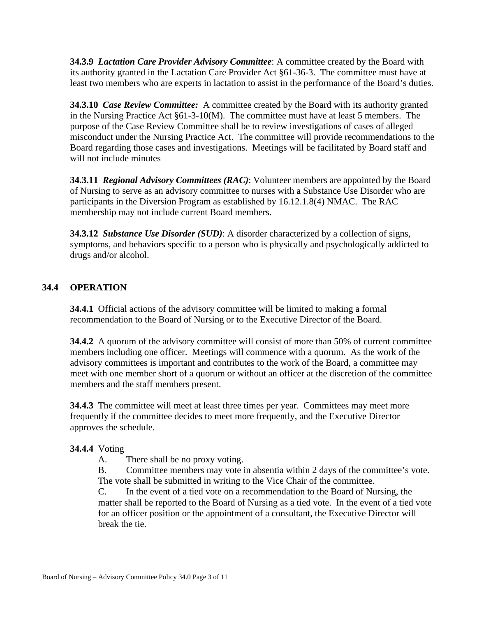**34.3.9** *Lactation Care Provider Advisory Committee*: A committee created by the Board with its authority granted in the Lactation Care Provider Act §61-36-3. The committee must have at least two members who are experts in lactation to assist in the performance of the Board's duties.

**34.3.10** *Case Review Committee:* A committee created by the Board with its authority granted in the Nursing Practice Act §61-3-10(M). The committee must have at least 5 members. The purpose of the Case Review Committee shall be to review investigations of cases of alleged misconduct under the Nursing Practice Act. The committee will provide recommendations to the Board regarding those cases and investigations. Meetings will be facilitated by Board staff and will not include minutes

**34.3.11** *Regional Advisory Committees (RAC)*: Volunteer members are appointed by the Board of Nursing to serve as an advisory committee to nurses with a Substance Use Disorder who are participants in the Diversion Program as established by 16.12.1.8(4) NMAC. The RAC membership may not include current Board members.

**34.3.12** *Substance Use Disorder (SUD)*: A disorder characterized by a collection of signs, symptoms, and behaviors specific to a person who is physically and psychologically addicted to drugs and/or alcohol.

## **34.4 OPERATION**

**34.4.1** Official actions of the advisory committee will be limited to making a formal recommendation to the Board of Nursing or to the Executive Director of the Board.

**34.4.2** A quorum of the advisory committee will consist of more than 50% of current committee members including one officer. Meetings will commence with a quorum. As the work of the advisory committees is important and contributes to the work of the Board, a committee may meet with one member short of a quorum or without an officer at the discretion of the committee members and the staff members present.

**34.4.3** The committee will meet at least three times per year. Committees may meet more frequently if the committee decides to meet more frequently, and the Executive Director approves the schedule.

## **34.4.4** Voting

A. There shall be no proxy voting.

B. Committee members may vote in absentia within 2 days of the committee's vote. The vote shall be submitted in writing to the Vice Chair of the committee.

C. In the event of a tied vote on a recommendation to the Board of Nursing, the matter shall be reported to the Board of Nursing as a tied vote. In the event of a tied vote for an officer position or the appointment of a consultant, the Executive Director will break the tie.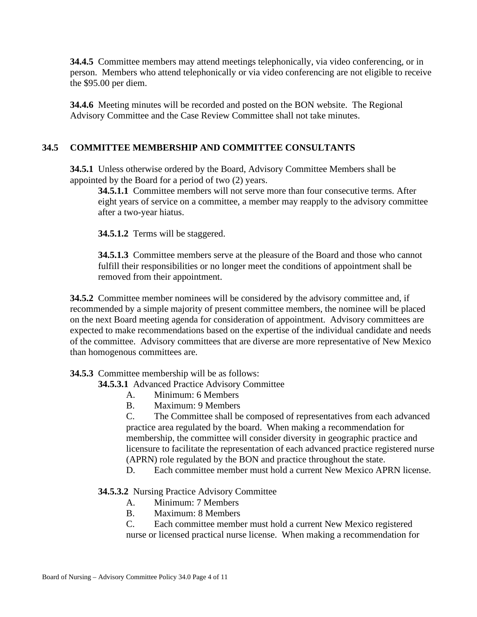**34.4.5** Committee members may attend meetings telephonically, via video conferencing, or in person. Members who attend telephonically or via video conferencing are not eligible to receive the \$95.00 per diem.

**34.4.6** Meeting minutes will be recorded and posted on the BON website. The Regional Advisory Committee and the Case Review Committee shall not take minutes.

# **34.5 COMMITTEE MEMBERSHIP AND COMMITTEE CONSULTANTS**

**34.5.1** Unless otherwise ordered by the Board, Advisory Committee Members shall be appointed by the Board for a period of two (2) years.

**34.5.1.1** Committee members will not serve more than four consecutive terms. After eight years of service on a committee, a member may reapply to the advisory committee after a two-year hiatus.

**34.5.1.2** Terms will be staggered.

**34.5.1.3** Committee members serve at the pleasure of the Board and those who cannot fulfill their responsibilities or no longer meet the conditions of appointment shall be removed from their appointment.

**34.5.2** Committee member nominees will be considered by the advisory committee and, if recommended by a simple majority of present committee members, the nominee will be placed on the next Board meeting agenda for consideration of appointment. Advisory committees are expected to make recommendations based on the expertise of the individual candidate and needs of the committee. Advisory committees that are diverse are more representative of New Mexico than homogenous committees are.

## **34.5.3** Committee membership will be as follows:

**34.5.3.1** Advanced Practice Advisory Committee

- A. Minimum: 6 Members
- B. Maximum: 9 Members

C. The Committee shall be composed of representatives from each advanced practice area regulated by the board. When making a recommendation for membership, the committee will consider diversity in geographic practice and licensure to facilitate the representation of each advanced practice registered nurse (APRN) role regulated by the BON and practice throughout the state.

D. Each committee member must hold a current New Mexico APRN license.

### **34.5.3.2** Nursing Practice Advisory Committee

- A. Minimum: 7 Members
- B. Maximum: 8 Members

C. Each committee member must hold a current New Mexico registered nurse or licensed practical nurse license. When making a recommendation for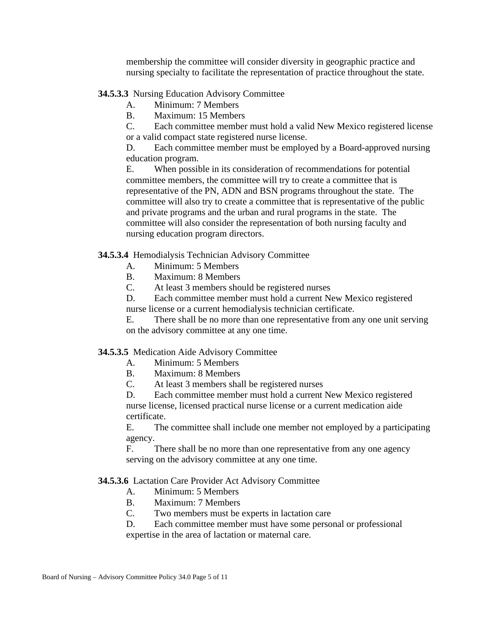membership the committee will consider diversity in geographic practice and nursing specialty to facilitate the representation of practice throughout the state.

### **34.5.3.3** Nursing Education Advisory Committee

- A. Minimum: 7 Members
- B. Maximum: 15 Members

C. Each committee member must hold a valid New Mexico registered license or a valid compact state registered nurse license.

D. Each committee member must be employed by a Board-approved nursing education program.

E. When possible in its consideration of recommendations for potential committee members, the committee will try to create a committee that is representative of the PN, ADN and BSN programs throughout the state. The committee will also try to create a committee that is representative of the public and private programs and the urban and rural programs in the state. The committee will also consider the representation of both nursing faculty and nursing education program directors.

#### **34.5.3.4** Hemodialysis Technician Advisory Committee

- A. Minimum: 5 Members
- B. Maximum: 8 Members
- C. At least 3 members should be registered nurses

D. Each committee member must hold a current New Mexico registered nurse license or a current hemodialysis technician certificate.

E. There shall be no more than one representative from any one unit serving on the advisory committee at any one time.

#### **34.5.3.5** Medication Aide Advisory Committee

- A. Minimum: 5 Members
- B. Maximum: 8 Members
- C. At least 3 members shall be registered nurses

D. Each committee member must hold a current New Mexico registered nurse license, licensed practical nurse license or a current medication aide certificate.

E. The committee shall include one member not employed by a participating agency.

F. There shall be no more than one representative from any one agency serving on the advisory committee at any one time.

#### **34.5.3.6** Lactation Care Provider Act Advisory Committee

- A. Minimum: 5 Members
- B. Maximum: 7 Members
- C. Two members must be experts in lactation care

D. Each committee member must have some personal or professional expertise in the area of lactation or maternal care.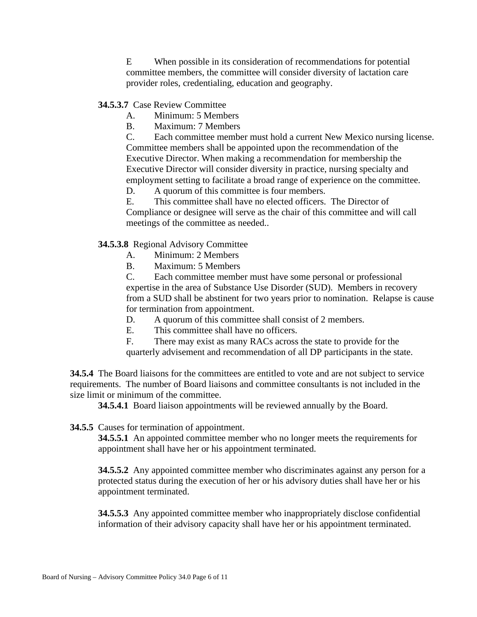E When possible in its consideration of recommendations for potential committee members, the committee will consider diversity of lactation care provider roles, credentialing, education and geography.

**34.5.3.7** Case Review Committee

- A. Minimum: 5 Members
- B. Maximum: 7 Members

C. Each committee member must hold a current New Mexico nursing license. Committee members shall be appointed upon the recommendation of the Executive Director. When making a recommendation for membership the Executive Director will consider diversity in practice, nursing specialty and employment setting to facilitate a broad range of experience on the committee.

D. A quorum of this committee is four members.

E. This committee shall have no elected officers. The Director of Compliance or designee will serve as the chair of this committee and will call meetings of the committee as needed..

**34.5.3.8** Regional Advisory Committee

- A. Minimum: 2 Members
- B. Maximum: 5 Members

C. Each committee member must have some personal or professional expertise in the area of Substance Use Disorder (SUD). Members in recovery from a SUD shall be abstinent for two years prior to nomination. Relapse is cause for termination from appointment.

D. A quorum of this committee shall consist of 2 members.

E. This committee shall have no officers.

F. There may exist as many RACs across the state to provide for the quarterly advisement and recommendation of all DP participants in the state.

**34.5.4** The Board liaisons for the committees are entitled to vote and are not subject to service requirements. The number of Board liaisons and committee consultants is not included in the size limit or minimum of the committee.

**34.5.4.1** Board liaison appointments will be reviewed annually by the Board.

**34.5.5** Causes for termination of appointment.

**34.5.5.1** An appointed committee member who no longer meets the requirements for appointment shall have her or his appointment terminated.

**34.5.5.2** Any appointed committee member who discriminates against any person for a protected status during the execution of her or his advisory duties shall have her or his appointment terminated.

**34.5.5.3** Any appointed committee member who inappropriately disclose confidential information of their advisory capacity shall have her or his appointment terminated.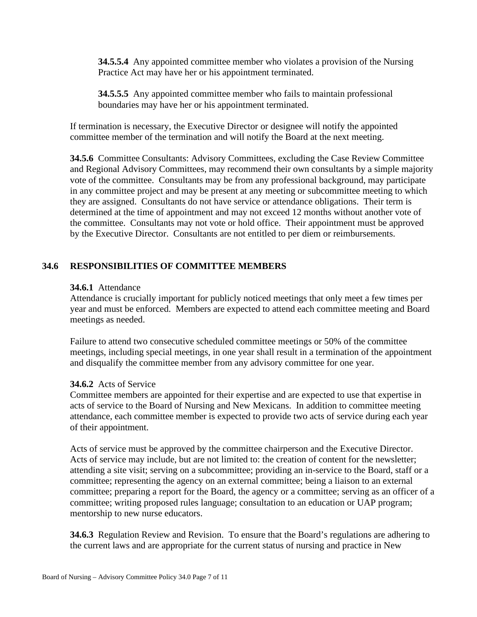**34.5.5.4** Any appointed committee member who violates a provision of the Nursing Practice Act may have her or his appointment terminated.

**34.5.5.5** Any appointed committee member who fails to maintain professional boundaries may have her or his appointment terminated.

If termination is necessary, the Executive Director or designee will notify the appointed committee member of the termination and will notify the Board at the next meeting.

**34.5.6** Committee Consultants: Advisory Committees, excluding the Case Review Committee and Regional Advisory Committees, may recommend their own consultants by a simple majority vote of the committee. Consultants may be from any professional background, may participate in any committee project and may be present at any meeting or subcommittee meeting to which they are assigned. Consultants do not have service or attendance obligations. Their term is determined at the time of appointment and may not exceed 12 months without another vote of the committee. Consultants may not vote or hold office. Their appointment must be approved by the Executive Director. Consultants are not entitled to per diem or reimbursements.

## **34.6 RESPONSIBILITIES OF COMMITTEE MEMBERS**

### **34.6.1** Attendance

Attendance is crucially important for publicly noticed meetings that only meet a few times per year and must be enforced. Members are expected to attend each committee meeting and Board meetings as needed.

Failure to attend two consecutive scheduled committee meetings or 50% of the committee meetings, including special meetings, in one year shall result in a termination of the appointment and disqualify the committee member from any advisory committee for one year.

### **34.6.2** Acts of Service

Committee members are appointed for their expertise and are expected to use that expertise in acts of service to the Board of Nursing and New Mexicans. In addition to committee meeting attendance, each committee member is expected to provide two acts of service during each year of their appointment.

Acts of service must be approved by the committee chairperson and the Executive Director. Acts of service may include, but are not limited to: the creation of content for the newsletter; attending a site visit; serving on a subcommittee; providing an in-service to the Board, staff or a committee; representing the agency on an external committee; being a liaison to an external committee; preparing a report for the Board, the agency or a committee; serving as an officer of a committee; writing proposed rules language; consultation to an education or UAP program; mentorship to new nurse educators.

**34.6.3** Regulation Review and Revision. To ensure that the Board's regulations are adhering to the current laws and are appropriate for the current status of nursing and practice in New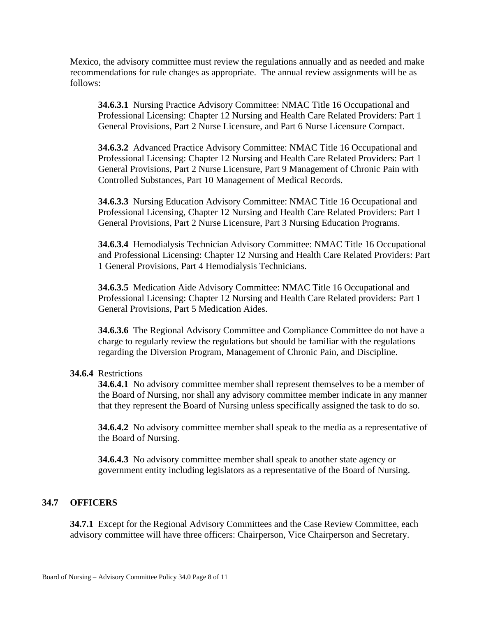Mexico, the advisory committee must review the regulations annually and as needed and make recommendations for rule changes as appropriate. The annual review assignments will be as follows:

**34.6.3.1** Nursing Practice Advisory Committee: NMAC Title 16 Occupational and Professional Licensing: Chapter 12 Nursing and Health Care Related Providers: Part 1 General Provisions, Part 2 Nurse Licensure, and Part 6 Nurse Licensure Compact.

**34.6.3.2** Advanced Practice Advisory Committee: NMAC Title 16 Occupational and Professional Licensing: Chapter 12 Nursing and Health Care Related Providers: Part 1 General Provisions, Part 2 Nurse Licensure, Part 9 Management of Chronic Pain with Controlled Substances, Part 10 Management of Medical Records.

**34.6.3.3** Nursing Education Advisory Committee: NMAC Title 16 Occupational and Professional Licensing, Chapter 12 Nursing and Health Care Related Providers: Part 1 General Provisions, Part 2 Nurse Licensure, Part 3 Nursing Education Programs.

**34.6.3.4** Hemodialysis Technician Advisory Committee: NMAC Title 16 Occupational and Professional Licensing: Chapter 12 Nursing and Health Care Related Providers: Part 1 General Provisions, Part 4 Hemodialysis Technicians.

**34.6.3.5** Medication Aide Advisory Committee: NMAC Title 16 Occupational and Professional Licensing: Chapter 12 Nursing and Health Care Related providers: Part 1 General Provisions, Part 5 Medication Aides.

**34.6.3.6** The Regional Advisory Committee and Compliance Committee do not have a charge to regularly review the regulations but should be familiar with the regulations regarding the Diversion Program, Management of Chronic Pain, and Discipline.

#### **34.6.4** Restrictions

**34.6.4.1** No advisory committee member shall represent themselves to be a member of the Board of Nursing, nor shall any advisory committee member indicate in any manner that they represent the Board of Nursing unless specifically assigned the task to do so.

**34.6.4.2** No advisory committee member shall speak to the media as a representative of the Board of Nursing.

**34.6.4.3** No advisory committee member shall speak to another state agency or government entity including legislators as a representative of the Board of Nursing.

### **34.7 OFFICERS**

**34.7.1** Except for the Regional Advisory Committees and the Case Review Committee, each advisory committee will have three officers: Chairperson, Vice Chairperson and Secretary.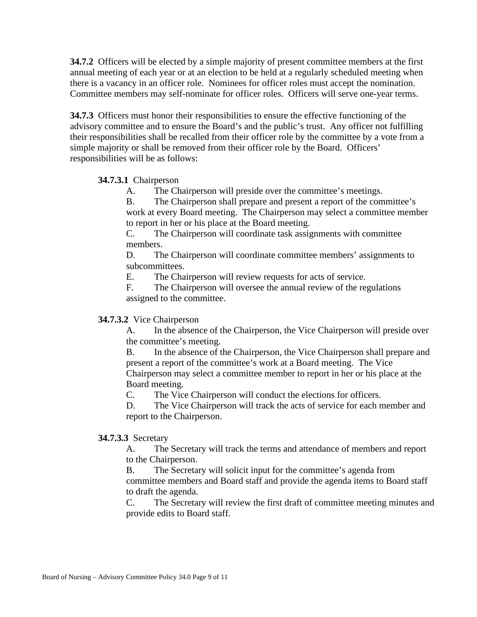**34.7.2** Officers will be elected by a simple majority of present committee members at the first annual meeting of each year or at an election to be held at a regularly scheduled meeting when there is a vacancy in an officer role. Nominees for officer roles must accept the nomination. Committee members may self-nominate for officer roles. Officers will serve one-year terms.

**34.7.3** Officers must honor their responsibilities to ensure the effective functioning of the advisory committee and to ensure the Board's and the public's trust. Any officer not fulfilling their responsibilities shall be recalled from their officer role by the committee by a vote from a simple majority or shall be removed from their officer role by the Board. Officers' responsibilities will be as follows:

### **34.7.3.1** Chairperson

A. The Chairperson will preside over the committee's meetings.

B. The Chairperson shall prepare and present a report of the committee's work at every Board meeting. The Chairperson may select a committee member to report in her or his place at the Board meeting.

C. The Chairperson will coordinate task assignments with committee members.

D. The Chairperson will coordinate committee members' assignments to subcommittees.

E. The Chairperson will review requests for acts of service.

F. The Chairperson will oversee the annual review of the regulations assigned to the committee.

### **34.7.3.2** Vice Chairperson

A. In the absence of the Chairperson, the Vice Chairperson will preside over the committee's meeting.

B. In the absence of the Chairperson, the Vice Chairperson shall prepare and present a report of the committee's work at a Board meeting. The Vice Chairperson may select a committee member to report in her or his place at the Board meeting.

C. The Vice Chairperson will conduct the elections for officers.

D. The Vice Chairperson will track the acts of service for each member and report to the Chairperson.

### **34.7.3.3** Secretary

A. The Secretary will track the terms and attendance of members and report to the Chairperson.

B. The Secretary will solicit input for the committee's agenda from committee members and Board staff and provide the agenda items to Board staff to draft the agenda.

C. The Secretary will review the first draft of committee meeting minutes and provide edits to Board staff.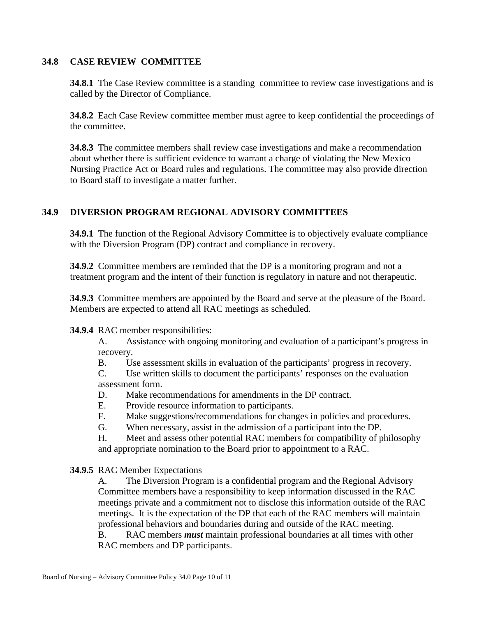### **34.8 CASE REVIEW COMMITTEE**

**34.8.1** The Case Review committee is a standing committee to review case investigations and is called by the Director of Compliance.

**34.8.2** Each Case Review committee member must agree to keep confidential the proceedings of the committee.

**34.8.3** The committee members shall review case investigations and make a recommendation about whether there is sufficient evidence to warrant a charge of violating the New Mexico Nursing Practice Act or Board rules and regulations. The committee may also provide direction to Board staff to investigate a matter further.

## **34.9 DIVERSION PROGRAM REGIONAL ADVISORY COMMITTEES**

**34.9.1** The function of the Regional Advisory Committee is to objectively evaluate compliance with the Diversion Program (DP) contract and compliance in recovery.

**34.9.2** Committee members are reminded that the DP is a monitoring program and not a treatment program and the intent of their function is regulatory in nature and not therapeutic.

**34.9.3** Committee members are appointed by the Board and serve at the pleasure of the Board. Members are expected to attend all RAC meetings as scheduled.

### **34.9.4** RAC member responsibilities:

A. Assistance with ongoing monitoring and evaluation of a participant's progress in recovery.

B. Use assessment skills in evaluation of the participants' progress in recovery.

C. Use written skills to document the participants' responses on the evaluation assessment form.

D. Make recommendations for amendments in the DP contract.

E. Provide resource information to participants.

- F. Make suggestions/recommendations for changes in policies and procedures.
- G. When necessary, assist in the admission of a participant into the DP.

H. Meet and assess other potential RAC members for compatibility of philosophy and appropriate nomination to the Board prior to appointment to a RAC.

### **34.9.5** RAC Member Expectations

A. The Diversion Program is a confidential program and the Regional Advisory Committee members have a responsibility to keep information discussed in the RAC meetings private and a commitment not to disclose this information outside of the RAC meetings. It is the expectation of the DP that each of the RAC members will maintain professional behaviors and boundaries during and outside of the RAC meeting.

B. RAC members *must* maintain professional boundaries at all times with other RAC members and DP participants.